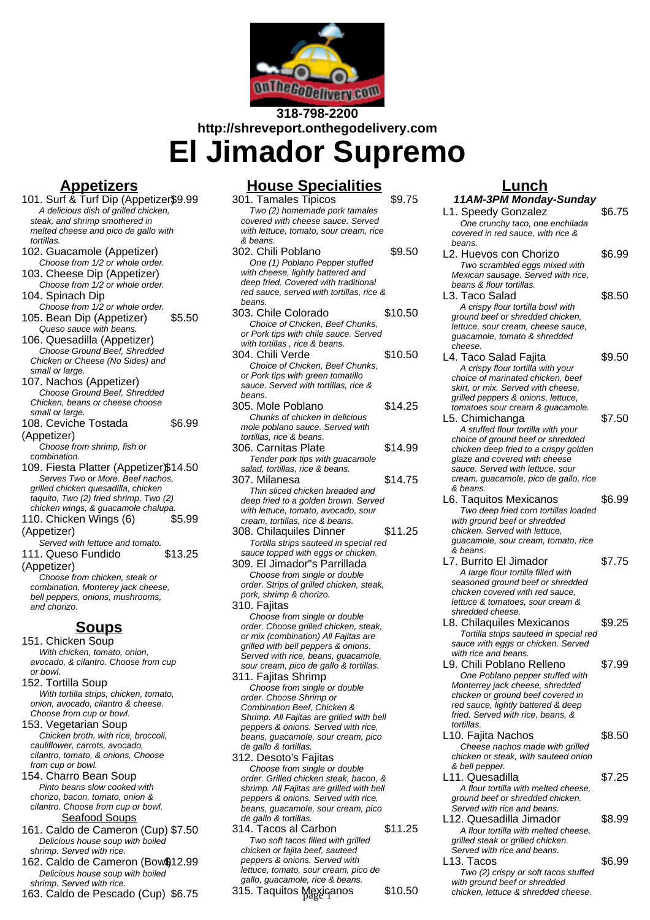

**318-798-2200 http://shreveport.onthegodelivery.com**

**El Jimador Supremo**

# **Appetizers**

- 101. Surf & Turf Dip (Appetizer\$9.99 A delicious dish of grilled chicken, steak, and shrimp smothered in melted cheese and pico de gallo with tortillas. 102. Guacamole (Appetizer) Choose from 1/2 or whole order. 103. Cheese Dip (Appetizer) Choose from 1/2 or whole order. 104. Spinach Dip Choose from 1/2 or whole order. 105. Bean Dip (Appetizer) \$5.50 Queso sauce with beans. 106. Quesadilla (Appetizer) Choose Ground Beef, Shredded Chicken or Cheese (No Sides) and small or large. 107. Nachos (Appetizer) Choose Ground Beef, Shredded Chicken, beans or cheese choose small or large. 108. Ceviche Tostada (Appetizer) \$6.99 Choose from shrimp, fish or combination. 109. Fiesta Platter (Appetizer)\$14.50 Serves Two or More. Beef nachos, grilled chicken quesadilla, chicken taquito, Two (2) fried shrimp, Two (2) chicken wings, & guacamole chalupa. 110. Chicken Wings (6) (Appetizer) \$5.99 Served with lettuce and tomato. 111. Queso Fundido (Appetizer) \$13.25 Choose from chicken, steak or combination, Monterey jack cheese, bell peppers, onions, mushrooms, and chorizo. **Soups** 151. Chicken Soup With chicken, tomato, onion, avocado, & cilantro. Choose from cup or bowl. 152. Tortilla Soup With tortilla strips, chicken, tomato, onion, avocado, cilantro & cheese. Choose from cup or bowl. 153. Vegetarian Soup Chicken broth, with rice, broccoli, cauliflower, carrots, avocado,
- cilantro, tomato, & onions. Choose from cup or bowl. 154. Charro Bean Soup Pinto beans slow cooked with chorizo, bacon, tomato, onion &
- cilantro. Choose from cup or bowl. Seafood Soups
- 161. Caldo de Cameron (Cup) \$7.50 Delicious house soup with boiled shrimp. Served with rice.
- 162. Caldo de Cameron (Bow\$12.99 Delicious house soup with boiled shrimp. Served with rice.
- 163. Caldo de Pescado (Cup) \$6.75

### **House Specialities**

- 301. Tamales Tipicos \$9.75 Two (2) homemade pork tamales covered with cheese sauce. Served with lettuce, tomato, sour cream, rice & beans. 302. Chili Poblano \$9.50 One (1) Poblano Pepper stuffed with cheese, lightly battered and deep fried. Covered with traditional red sauce, served with tortillas, rice & beans. 303. Chile Colorado \$10.50 Choice of Chicken, Beef Chunks, or Pork tips with chile sauce. Served with tortillas , rice & beans. 304. Chili Verde \$10.50 Choice of Chicken, Beef Chunks, or Pork tips with green tomatillo sauce. Served with tortillas, rice & beans. 305. Mole Poblano \$14.25 Chunks of chicken in delicious mole poblano sauce. Served with tortillas, rice & beans. 306. Carnitas Plate \$14.99 Tender pork tips with guacamole salad, tortillas, rice & beans. 307. Milanesa \$14.75 Thin sliced chicken breaded and deep fried to a golden brown. Served with lettuce, tomato, avocado, sour cream, tortillas, rice & beans. 308. Chilaquiles Dinner \$11.25 Tortilla strips sauteed in special red sauce topped with eggs or chicken. 309. El Jimador"s Parrillada Choose from single or double order. Strips of grilled chicken, steak, pork, shrimp & chorizo. 310. Fajitas Choose from single or double order. Choose grilled chicken, steak, or mix (combination) All Fajitas are grilled with bell peppers & onions. Served with rice, beans, guacamole, sour cream, pico de gallo & tortillas. 311. Fajitas Shrimp Choose from single or double order. Choose Shrimp or Combination Beef, Chicken & Shrimp. All Fajitas are grilled with bell
- peppers & onions. Served with rice, beans, guacamole, sour cream, pico de gallo & tortillas. 312. Desoto's Fajitas
	- Choose from single or double order. Grilled chicken steak, bacon, & shrimp. All Faiitas are grilled with bell peppers & onions. Served with rice, beans, guacamole, sour cream, pico de gallo & tortillas.
- 314. Tacos al Carbon \$11.25 Two soft tacos filled with grilled chicken or fajita beef, sauteed peppers & onions. Served with lettuce, tomato, sour cream, pico de gallo, guacamole, rice & beans. 315. Taquitos Mexicanos \$10.50

# **Lunch**

**11AM-3PM Monday-Sunday** L1. Speedy Gonzalez \$6.75 One crunchy taco, one enchilada covered in red sauce, with rice & beans. L2. Huevos con Chorizo \$6.99 Two scrambled eggs mixed with Mexican sausage. Served with rice, beans & flour tortillas. L3. Taco Salad \$8.50 A crispy flour tortilla bowl with ground beef or shredded chicken, lettuce, sour cream, cheese sauce. guacamole, tomato & shredded cheese. L4. Taco Salad Fajita  $$9.50$ A crispy flour tortilla with your choice of marinated chicken, beef skirt, or mix. Served with cheese, grilled peppers & onions, lettuce, tomatoes sour cream & guacamole. L5. Chimichanga \$7.50 A stuffed flour tortilla with your choice of ground beef or shredded chicken deep fried to a crispy golden glaze and covered with cheese sauce. Served with lettuce, sour cream, guacamole, pico de gallo, rice & beans. L6. Taquitos Mexicanos \$6.99 Two deep fried corn tortillas loaded with ground beef or shredded chicken. Served with lettuce, guacamole, sour cream, tomato, rice & beans. L7. Burrito El Jimador \$7.75 A large flour tortilla filled with seasoned ground beef or shredded chicken covered with red sauce, lettuce & tomatoes, sour cream & shredded cheese. L8. Chilaquiles Mexicanos \$9.25 Tortilla strips sauteed in special red sauce with eggs or chicken. Served with rice and beans. L9. Chili Poblano Relleno \$7.99 One Poblano pepper stuffed with Monterrey jack cheese, shredded chicken or ground beef covered in red sauce, lightly battered & deep fried. Served with rice, beans, & tortillas. L10. Fajita Nachos \$8.50 Cheese nachos made with grilled chicken or steak, with sauteed onion & bell pepper. L11. Quesadilla \$7.25 A flour tortilla with melted cheese, ground beef or shredded chicken. Served with rice and beans. L12. Quesadilla Jimador \$8.99 A flour tortilla with melted cheese, grilled steak or grilled chicken. Served with rice and beans. L13. Tacos \$6.99 Two (2) crispy or soft tacos stuffed with ground beef or shredded

chicken, lettuce & shredded cheese.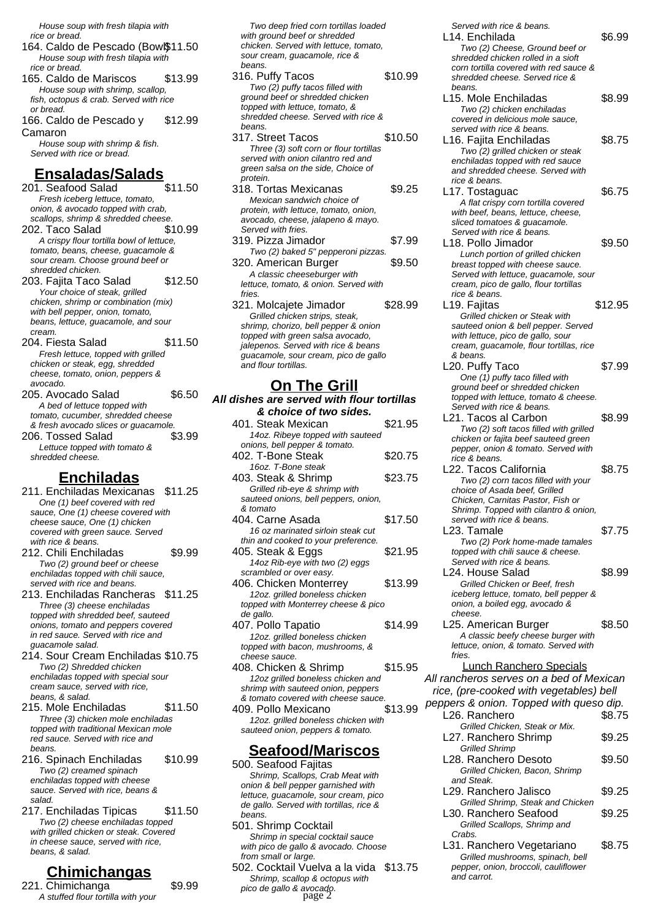House soup with fresh tilapia with rice or bread.

- 164. Caldo de Pescado (Bow $$11.50$ House soup with fresh tilapia with rice or bread.
- 165. Caldo de Mariscos \$13.99 House soup with shrimp, scallop, fish, octopus & crab. Served with rice or bread.
- 166. Caldo de Pescado y Camaron \$12.99

House soup with shrimp & fish. Served with rice or bread.

### **Ensaladas/Salads**

- 201. Seafood Salad \$11.50 Fresh iceberg lettuce, tomato, onion, & avocado topped with crab, scallops, shrimp & shredded cheese. 202. Taco Salad \$10.99 A crispy flour tortilla bowl of lettuce, tomato, beans, cheese, guacamole &
- sour cream. Choose ground beef or shredded chicken. 203. Fajita Taco Salad \$12.50 Your choice of steak, grilled chicken, shrimp or combination (mix) with bell pepper, onion, tomato, beans, lettuce, guacamole, and sour
- cream. 204. Fiesta Salad \$11.50 Fresh lettuce, topped with grilled chicken or steak, egg, shredded cheese, tomato, onion, peppers &
- avocado. 205. Avocado Salad \$6.50 A bed of lettuce topped with tomato, cucumber, shredded cheese & fresh avocado slices or guacamole. 206. Tossed Salad \$3.99 Lettuce topped with tomato & shredded cheese.

#### **Enchiladas**

- 211. Enchiladas Mexicanas \$11.25 One (1) beef covered with red sauce, One (1) cheese covered with cheese sauce, One (1) chicken covered with green sauce. Served with rice & beans. 212. Chili Enchiladas \$9.99 Two (2) ground beef or cheese enchiladas topped with chili sauce,
- served with rice and beans. 213. Enchiladas Rancheras \$11.25 Three (3) cheese enchiladas topped with shredded beef, sauteed onions, tomato and peppers covered in red sauce. Served with rice and guacamole salad.
- 214. Sour Cream Enchiladas \$10.75 Two (2) Shredded chicken enchiladas topped with special sour cream sauce, served with rice, beans, & salad.
- 215. Mole Enchiladas \$11.50 Three (3) chicken mole enchiladas topped with traditional Mexican mole red sauce. Served with rice and beans.
- 216. Spinach Enchiladas \$10.99 Two (2) creamed spinach enchiladas topped with cheese sauce. Served with rice, beans & salad.
- 217. Enchiladas Tipicas \$11.50 Two (2) cheese enchiladas topped with grilled chicken or steak. Covered in cheese sauce, served with rice, beans, & salad.

# **Chimichangas**

221. Chimichanga \$9.99 A stuffed flour tortilla with your

Two deep fried corn tortillas loaded with ground beef or shredded chicken. Served with lettuce, tomato, sour cream, guacamole, rice & beans.

- 316. Puffy Tacos \$10.99 Two (2) puffy tacos filled with ground beef or shredded chicken topped with lettuce, tomato, & shredded cheese. Served with rice & beans.
- 317. Street Tacos \$10.50 Three (3) soft corn or flour tortillas served with onion cilantro red and green salsa on the side, Choice of protein.
- 318. Tortas Mexicanas \$9.25 Mexican sandwich choice of protein, with lettuce, tomato, onion, avocado, cheese, jalapeno & mayo. Served with fries.
- 319. Pizza Jimador \$7.99 Two (2) baked 5" pepperoni pizzas. 320. American Burger \$9.50 A classic cheeseburger with
- lettuce, tomato, & onion. Served with fries. 321. Molcajete Jimador \$28.99
- Grilled chicken strips, steak, shrimp, chorizo, bell pepper & onion topped with green salsa avocado, jalepenos. Served with rice & beans guacamole, sour cream, pico de gallo and flour tortillas.

#### **On The Grill**

**All dishes are served with flour tortillas & choice of two sides.**

| 401. Steak Mexican                   | \$21.95 |
|--------------------------------------|---------|
| 14oz. Ribeye topped with sauteed     |         |
| onions, bell pepper & tomato.        |         |
| 402. T-Bone Steak                    | \$20.75 |
| 16oz. T-Bone steak                   |         |
| 403. Steak & Shrimp                  | \$23.75 |
| Grilled rib-eye & shrimp with        |         |
| sauteed onions, bell peppers, onion, |         |
| & tomato                             |         |
| 404. Carne Asada                     | \$17.50 |
| 16 oz marinated sirloin steak cut    |         |
| thin and cooked to your preference.  |         |
| 405. Steak & Eggs                    | \$21.95 |
| 14oz Rib-eye with two (2) eggs       |         |
| scrambled or over easy.              |         |
| 406. Chicken Monterrey               | \$13.99 |
| 12oz. grilled boneless chicken       |         |
| topped with Monterrey cheese & pico  |         |
| de gallo.                            |         |
| 407. Pollo Tapatio                   | \$14.99 |
| 12oz. grilled boneless chicken       |         |
| topped with bacon, mushrooms, &      |         |
| cheese sauce.                        |         |
| 408. Chicken & Shrimp                | \$15.95 |
| 12oz grilled boneless chicken and    |         |
| shrimp with sauteed onion, peppers   |         |
| & tomato covered with cheese sauce.  |         |
| 409. Pollo Mexicano                  | \$13.99 |
| 12oz. grilled boneless chicken with  |         |
| sauteed onion, peppers & tomato.     |         |

#### **Seafood/Mariscos**

500. Seafood Fajitas Shrimp, Scallops, Crab Meat with onion & bell pepper garnished with lettuce, guacamole, sour cream, pico de gallo. Served with tortillas, rice & beans. 501. Shrimp Cocktail

Shrimp in special cocktail sauce with pico de gallo & avocado. Choose from small or large.

502. Cocktail Vuelva a la vida \$13.75 Shrimp, scallop & octopus with pico de gallo & avocado. page 2

Served with rice & beans. L14. Enchilada  $$6.99$ Two (2) Cheese, Ground beef or shredded chicken rolled in a sioft corn tortilla covered with red sauce & shredded cheese. Served rice & beans. L15. Mole Enchiladas \$8.99 Two (2) chicken enchiladas covered in delicious mole sauce, served with rice & beans. L16. Fajita Enchiladas \$8.75 Two (2) grilled chicken or steak enchiladas topped with red sauce and shredded cheese. Served with rice & beans. L17. Tostaguac \$6.75 A flat crispy corn tortilla covered with beef, beans, lettuce, cheese. sliced tomatoes & guacamole. Served with rice & beans. L18. Pollo Jimador \$9.50 Lunch portion of grilled chicken breast topped with cheese sauce. Served with lettuce, guacamole, sour cream, pico de gallo, flour tortillas rice & beans. L19. Fajitas **\$12.95** Grilled chicken or Steak with sauteed onion & bell pepper. Served with lettuce, pico de gallo, sour cream, guacamole, flour tortillas, rice & beans. L20. Puffy Taco \$7.99 One (1) puffy taco filled with ground beef or shredded chicken topped with lettuce, tomato & cheese. Served with rice & beans. L21. Tacos al Carbon \$8.99 Two (2) soft tacos filled with grilled chicken or fajita beef sauteed green pepper, onion & tomato. Served with rice & beans. L22. Tacos California  $$8.75$ Two (2) corn tacos filled with your choice of Asada beef, Grilled Chicken, Carnitas Pastor, Fish or Shrimp. Topped with cilantro & onion, served with rice & beans. L23. Tamale \$7.75 Two (2) Pork home-made tamales topped with chili sauce & cheese. Served with rice & beans. L24. House Salad \$8.99 Grilled Chicken or Beef, fresh iceberg lettuce, tomato, bell pepper & onion, a boiled egg, avocado & cheese. L25. American Burger \$8.50 A classic beefy cheese burger with lettuce, onion, & tomato. Served with fries. Lunch Ranchero Specials All rancheros serves on a bed of Mexican rice, (pre-cooked with vegetables) bell peppers & onion. Topped with queso dip. L26. Ranchero \$8.75 Grilled Chicken, Steak or Mix. L27. Ranchero Shrimp \$9.25 Grilled Shrimp L28. Ranchero Desoto \$9.50 Grilled Chicken, Bacon, Shrimp and Steak. L29. Ranchero Jalisco  $$9.25$ Grilled Shrimp, Steak and Chicken L30. Ranchero Seafood \$9.25 Grilled Scallops, Shrimp and Crabs. L31. Ranchero Vegetariano \$8.75 Grilled mushrooms, spinach, bell pepper, onion, broccoli, cauliflower and carrot.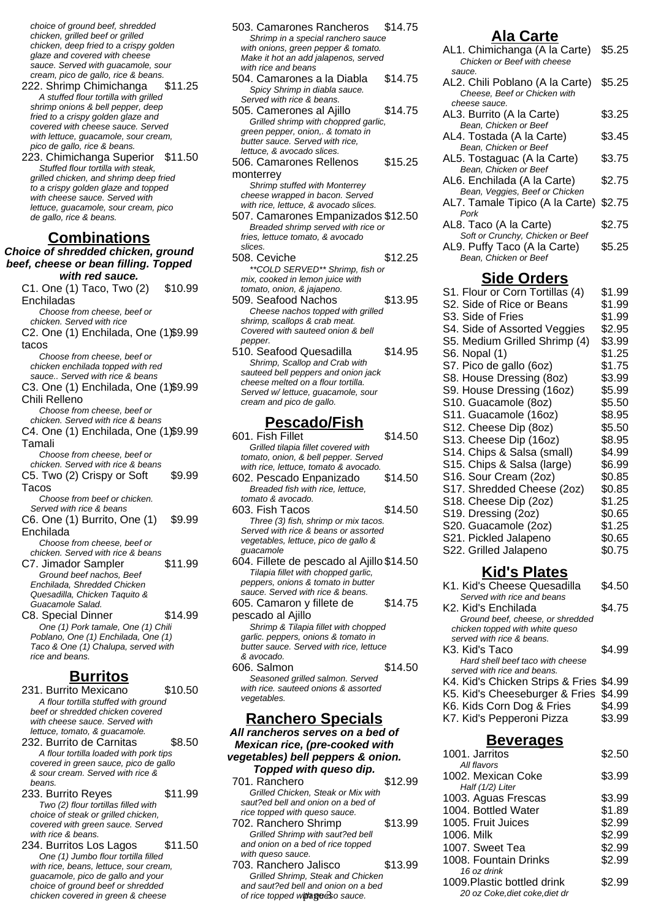choice of ground beef, shredded chicken, grilled beef or grilled chicken, deep fried to a crispy golden glaze and covered with cheese sauce. Served with guacamole, sour cream, pico de gallo, rice & beans.

- 222. Shrimp Chimichanga \$11.25 A stuffed flour tortilla with grilled shrimp onions & bell pepper, deep fried to a crispy golden glaze and covered with cheese sauce. Served with lettuce, guacamole, sour cream, pico de gallo, rice & beans.
- 223. Chimichanga Superior \$11.50 Stuffed flour tortilla with steak, grilled chicken, and shrimp deep fried to a crispy golden glaze and topped with cheese sauce. Served with lettuce, guacamole, sour cream, pico de gallo, rice & beans.

#### **Combinations**

**Choice of shredded chicken, ground beef, cheese or bean filling. Topped with red sauce.**

C1. One (1) Taco, Two (2) Enchiladas \$10.99 Choose from cheese, beef or chicken. Served with rice C2. One (1) Enchilada, One (1) \$9.99 tacos Choose from cheese, beef or chicken enchilada topped with red sauce.. Served with rice & beans C3. One (1) Enchilada, One (1) \$9.99 Chili Relleno Choose from cheese, beef or chicken. Served with rice & beans C4. One (1) Enchilada, One (1) \$9.99 Tamali Choose from cheese, beef or chicken. Served with rice & beans C5. Two (2) Crispy or Soft Tacos \$9.99 Choose from beef or chicken. Served with rice & beans C6. One (1) Burrito, One (1) Enchilada \$9.99 Choose from cheese, beef or chicken. Served with rice & beans C7. Jimador Sampler \$11.99 Ground beef nachos, Beef Enchilada, Shredded Chicken Quesadilla, Chicken Taquito & Guacamole Salad. C8. Special Dinner \$14.99 One (1) Pork tamale, One (1) Chili Poblano, One (1) Enchilada, One (1) Taco & One (1) Chalupa, served with rice and beans.

#### **Burritos**

- 231. Burrito Mexicano \$10.50 A flour tortilla stuffed with ground beef or shredded chicken covered with cheese sauce. Served with lettuce, tomato, & guacamole. 232. Burrito de Carnitas \$8.50 A flour tortilla loaded with pork tips covered in green sauce, pico de gallo & sour cream. Served with rice & beans. 233. Burrito Reyes \$11.99
- Two (2) flour tortillas filled with choice of steak or grilled chicken, covered with green sauce. Served with rice & beans.
- 234. Burritos Los Lagos \$11.50 One (1) Jumbo flour tortilla filled with rice, beans, lettuce, sour cream, guacamole, pico de gallo and your choice of ground beef or shredded chicken covered in green & cheese

| 503. Camarones Rancheros                                       | \$14.75 |
|----------------------------------------------------------------|---------|
| Shrimp in a special ranchero sauce                             |         |
| with onions, green pepper & tomato.                            |         |
| Make it hot an add jalapenos, served                           |         |
| with rice and beans                                            |         |
| 504. Camarones a la Diabla                                     | \$14.75 |
| Spicy Shrimp in diabla sauce.                                  |         |
| Served with rice & beans.                                      |         |
|                                                                | \$14.75 |
| 505. Camerones al Aiillo                                       |         |
| Grilled shrimp with choppred garlic,                           |         |
| green pepper, onion,. & tomato in                              |         |
| butter sauce. Served with rice,                                |         |
| lettuce, & avocado slices.                                     |         |
| 506. Camarones Rellenos                                        | \$15.25 |
| monterrey                                                      |         |
| Shrimp stuffed with Monterrey                                  |         |
| cheese wrapped in bacon. Served                                |         |
| with rice, lettuce, & avocado slices.                          |         |
| 507. Camarones Empanizados \$12.50                             |         |
|                                                                |         |
| Breaded shrimp served with rice or                             |         |
| fries, lettuce tomato, & avocado                               |         |
| slices.                                                        |         |
| 508. Ceviche                                                   | \$12.25 |
| **COLD SERVED** Shrimp, fish or                                |         |
| mix, cooked in lemon juice with                                |         |
| tomato, onion, & jajapeno.                                     |         |
| 509. Seafood Nachos                                            | \$13.95 |
| Cheese nachos topped with grilled                              |         |
| shrimp, scallops & crab meat.                                  |         |
| Covered with sauteed onion & bell                              |         |
| pepper.                                                        |         |
| 510. Seafood Quesadilla                                        | \$14.95 |
| Shrimp, Scallop and Crab with                                  |         |
| sauteed bell peppers and onion jack                            |         |
| cheese melted on a flour tortilla.                             |         |
|                                                                |         |
| Served w/ lettuce, guacamole, sour<br>cream and pico de gallo. |         |
|                                                                |         |
| <u>Pescado/Fish</u>                                            |         |
|                                                                |         |
| 601. Fish Fillet                                               | \$14.50 |
| Grilled tilapia fillet covered with                            |         |
| tomato, onion, & bell pepper. Served                           |         |
| with rice, lettuce, tomato & avocado.                          |         |
| 602. Pescado Enpanizado                                        | \$14.50 |
| Breaded fish with rice, lettuce,                               |         |

tomato & avocado.

guacamole

pescado al Ajillo

& avocado.

vegetables.

with queso sauce.

603. Fish Tacos \$14.50 Three (3) fish, shrimp or mix tacos. Served with rice & beans or assorted vegetables, lettuce, pico de gallo &

604. Fillete de pescado al Ajillo \$14.50 Tilapia fillet with chopped garlic, peppers, onions & tomato in butter sauce. Served with rice & beans. 605. Camaron y fillete de

Shrimp & Tilapia fillet with chopped garlic. peppers, onions & tomato in butter sauce. Served with rice, lettuce

606. Salmon \$14.50 Seasoned grilled salmon. Served with rice. sauteed onions & assorted

**Ranchero Specials All rancheros serves on a bed of Mexican rice, (pre-cooked with vegetables) bell peppers & onion. Topped with queso dip.** 701. Ranchero \$12.99 Grilled Chicken, Steak or Mix with saut?ed bell and onion on a bed of rice topped with queso sauce.

702. Ranchero Shrimp \$13.99 Grilled Shrimp with saut?ed bell and onion on a bed of rice topped

703. Ranchero Jalisco \$13.99 Grilled Shrimp, Steak and Chicken and saut?ed bell and onion on a bed of rice topped with gees sauce.

\$14.75

# **Ala Carte**

| AL1. Chimichanga (A la Carte)<br>Chicken or Beef with cheese                                                                                                                                                                                                                                                                                                                                                                                                                                                                                                                | \$5.25                                                                                                                                                                                                         |
|-----------------------------------------------------------------------------------------------------------------------------------------------------------------------------------------------------------------------------------------------------------------------------------------------------------------------------------------------------------------------------------------------------------------------------------------------------------------------------------------------------------------------------------------------------------------------------|----------------------------------------------------------------------------------------------------------------------------------------------------------------------------------------------------------------|
| sauce.<br>AL2. Chili Poblano (A la Carte)<br>Cheese, Beef or Chicken with                                                                                                                                                                                                                                                                                                                                                                                                                                                                                                   | \$5.25                                                                                                                                                                                                         |
| cheese sauce.<br>AL3. Burrito (A la Carte)                                                                                                                                                                                                                                                                                                                                                                                                                                                                                                                                  | \$3.25                                                                                                                                                                                                         |
| Bean, Chicken or Beef<br>AL4. Tostada (A la Carte)<br>Bean, Chicken or Beef                                                                                                                                                                                                                                                                                                                                                                                                                                                                                                 | \$3.45                                                                                                                                                                                                         |
| AL5. Tostaguac (A la Carte)<br>Bean, Chicken or Beef                                                                                                                                                                                                                                                                                                                                                                                                                                                                                                                        | \$3.75                                                                                                                                                                                                         |
| AL6. Enchilada (A la Carte)<br>Bean, Veggies, Beef or Chicken                                                                                                                                                                                                                                                                                                                                                                                                                                                                                                               | \$2.75                                                                                                                                                                                                         |
| AL7. Tamale Tipico (A la Carte)<br>Pork                                                                                                                                                                                                                                                                                                                                                                                                                                                                                                                                     | \$2.75                                                                                                                                                                                                         |
| AL8. Taco (A la Carte)<br>Soft or Crunchy, Chicken or Beef                                                                                                                                                                                                                                                                                                                                                                                                                                                                                                                  | \$2.75                                                                                                                                                                                                         |
| AL9. Puffy Taco (A la Carte)<br>Bean, Chicken or Beef                                                                                                                                                                                                                                                                                                                                                                                                                                                                                                                       | \$5.25                                                                                                                                                                                                         |
| <b>Side Orders</b><br>S1. Flour or Corn Tortillas (4)                                                                                                                                                                                                                                                                                                                                                                                                                                                                                                                       | \$1.99                                                                                                                                                                                                         |
| S2. Side of Rice or Beans<br>S3. Side of Fries<br>S4. Side of Assorted Veggies<br>S5. Medium Grilled Shrimp (4)<br>S6. Nopal (1)<br>S7. Pico de gallo (6oz)<br>S8. House Dressing (8oz)<br>S9. House Dressing (16oz)<br>S10. Guacamole (8oz)<br>S11. Guacamole (16oz)<br>S12. Cheese Dip (8oz)<br>S13. Cheese Dip (16oz)<br>S14. Chips & Salsa (small)<br>S15. Chips & Salsa (large)<br>S16. Sour Cream (2oz)<br>S17. Shredded Cheese (2oz)<br>S18. Cheese Dip (2oz)<br>S19. Dressing (2oz)<br>S20. Guacamole (2oz)<br>S21. Pickled Jalapeno<br>S22. Grilled Jalapeno<br>,, | \$1.99<br>\$1.99<br>\$2.95<br>\$3.99<br>\$1.25<br>\$1.75<br>\$3.99<br>\$5.99<br>\$5.50<br>\$8.95<br>\$5.50<br>\$8.95<br>\$4.99<br>\$6.99<br>\$0.85<br>\$0.85<br>\$1.25<br>\$0.65<br>\$1.25<br>\$0.65<br>\$0.75 |

#### **Kid's Plates**

| K1. Kid's Cheese Quesadilla             | \$4.50 |
|-----------------------------------------|--------|
| Served with rice and beans              |        |
| K2. Kid's Enchilada                     | \$4.75 |
| Ground beef, cheese, or shredded        |        |
| chicken topped with white queso         |        |
| served with rice & beans.               |        |
| K3. Kid's Taco                          | \$4.99 |
| Hard shell beef taco with cheese        |        |
| served with rice and beans.             |        |
| K4. Kid's Chicken Strips & Fries \$4.99 |        |
| K5. Kid's Cheeseburger & Fries \$4.99   |        |
| K6. Kids Corn Dog & Fries               | \$4.99 |
| K7. Kid's Pepperoni Pizza               | \$3.99 |
|                                         |        |

#### **Beverages**

| 1001. Jarritos                 | \$2.50 |
|--------------------------------|--------|
| All flavors                    |        |
| 1002. Mexican Coke             | \$3.99 |
| Half (1/2) Liter               |        |
| 1003. Aguas Frescas            | \$3.99 |
| 1004. Bottled Water            | \$1.89 |
| 1005. Fruit Juices             | \$2.99 |
| 1006. Milk                     | \$2.99 |
| 1007. Sweet Tea                | \$2.99 |
| 1008. Fountain Drinks          | \$2.99 |
| 16 oz drink                    |        |
| 1009. Plastic bottled drink    | \$2.99 |
| 20 oz Coke, diet coke, diet dr |        |